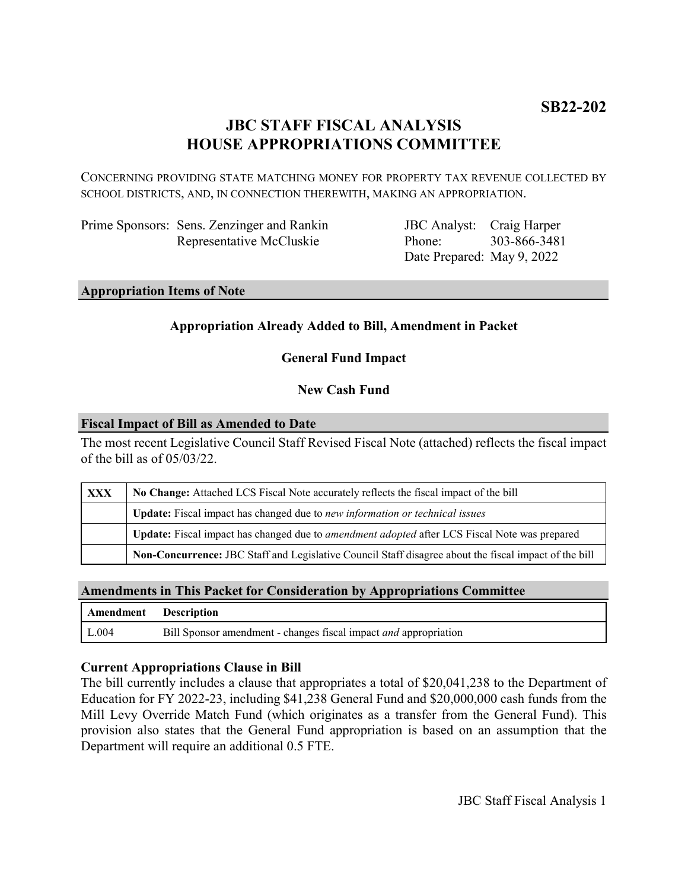# **JBC STAFF FISCAL ANALYSIS HOUSE APPROPRIATIONS COMMITTEE**

CONCERNING PROVIDING STATE MATCHING MONEY FOR PROPERTY TAX REVENUE COLLECTED BY SCHOOL DISTRICTS, AND, IN CONNECTION THEREWITH, MAKING AN APPROPRIATION.

| Prime Sponsors: Sens. Zenzinger and Rankin |
|--------------------------------------------|
| Representative McCluskie                   |

JBC Analyst: Craig Harper Phone: Date Prepared: May 9, 2022 303-866-3481

#### **Appropriation Items of Note**

## **Appropriation Already Added to Bill, Amendment in Packet**

**General Fund Impact**

### **New Cash Fund**

#### **Fiscal Impact of Bill as Amended to Date**

The most recent Legislative Council Staff Revised Fiscal Note (attached) reflects the fiscal impact of the bill as of 05/03/22.

| <b>XXX</b> | No Change: Attached LCS Fiscal Note accurately reflects the fiscal impact of the bill                 |
|------------|-------------------------------------------------------------------------------------------------------|
|            | <b>Update:</b> Fiscal impact has changed due to new information or technical issues                   |
|            | Update: Fiscal impact has changed due to <i>amendment adopted</i> after LCS Fiscal Note was prepared  |
|            | Non-Concurrence: JBC Staff and Legislative Council Staff disagree about the fiscal impact of the bill |

### **Amendments in This Packet for Consideration by Appropriations Committee**

| Amendment Description |                                                                  |
|-----------------------|------------------------------------------------------------------|
| $\mid$ L.004          | Bill Sponsor amendment - changes fiscal impact and appropriation |

### **Current Appropriations Clause in Bill**

The bill currently includes a clause that appropriates a total of \$20,041,238 to the Department of Education for FY 2022-23, including \$41,238 General Fund and \$20,000,000 cash funds from the Mill Levy Override Match Fund (which originates as a transfer from the General Fund). This provision also states that the General Fund appropriation is based on an assumption that the Department will require an additional 0.5 FTE.